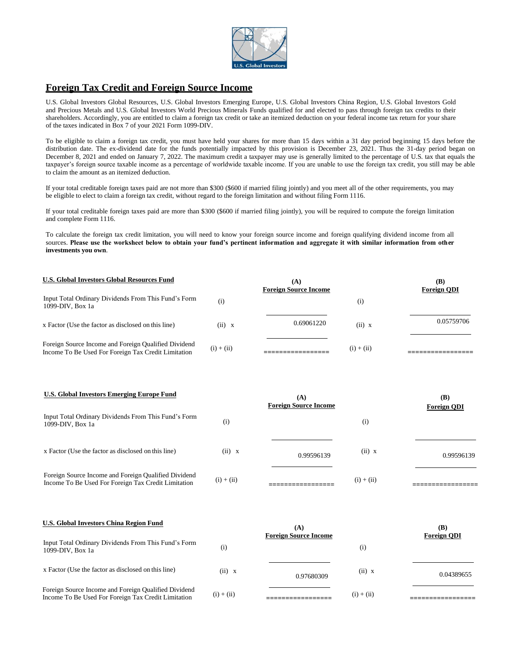

## **Foreign Tax Credit and Foreign Source Income**

U.S. Global Investors Global Resources, U.S. Global Investors Emerging Europe, U.S. Global Investors China Region, U.S. Global Investors Gold and Precious Metals and U.S. Global Investors World Precious Minerals Funds qualified for and elected to pass through foreign tax credits to their shareholders. Accordingly, you are entitled to claim a foreign tax credit or take an itemized deduction on your federal income tax return for your share of the taxes indicated in Box 7 of your 2021 Form 1099-DIV.

To be eligible to claim a foreign tax credit, you must have held your shares for more than 15 days within a 31 day period beginning 15 days before the distribution date. The ex-dividend date for the funds potentially impacted by this provision is December 23, 2021. Thus the 31-day period began on December 8, 2021 and ended on January 7, 2022. The maximum credit a taxpayer may use is generally limited to the percentage of U.S. tax that equals the taxpayer's foreign source taxable income as a percentage of worldwide taxable income. If you are unable to use the foreign tax credit, you still may be able to claim the amount as an itemized deduction.

If your total creditable foreign taxes paid are not more than \$300 (\$600 if married filing jointly) and you meet all of the other requirements, you may be eligible to elect to claim a foreign tax credit, without regard to the foreign limitation and without filing Form 1116.

If your total creditable foreign taxes paid are more than \$300 (\$600 if married filing jointly), you will be required to compute the foreign limitation and complete Form 1116.

To calculate the foreign tax credit limitation, you will need to know your foreign source income and foreign qualifying dividend income from all sources. **Please use the worksheet below to obtain your fund's pertinent information and aggregate it with similar information from other investments you own**.

| <b>U.S. Global Investors Global Resources Fund</b>                                                          |              | (A)<br><b>Foreign Source Income</b> |                   | (B)<br><b>Foreign ODI</b> |
|-------------------------------------------------------------------------------------------------------------|--------------|-------------------------------------|-------------------|---------------------------|
| Input Total Ordinary Dividends From This Fund's Form<br>$1099-DIV. Box 1a$                                  | (i)          |                                     | $\left( i\right)$ |                           |
| x Factor (Use the factor as disclosed on this line)                                                         | (ii) x       | 0.69061220                          | (ii) x            | 0.05759706                |
| Foreign Source Income and Foreign Qualified Dividend<br>Income To Be Used For Foreign Tax Credit Limitation | $(i) + (ii)$ |                                     | $(i) + (ii)$      |                           |

| U.S. Global Investors Emerging Europe Fund                                                                  |              | (A)<br><b>Foreign Source Income</b> |              | (B)<br><b>Foreign ODI</b> |
|-------------------------------------------------------------------------------------------------------------|--------------|-------------------------------------|--------------|---------------------------|
| Input Total Ordinary Dividends From This Fund's Form<br>$1099-DIV. Box 1a$                                  | (i)          |                                     | (i)          |                           |
| x Factor (Use the factor as disclosed on this line)                                                         | (ii) x       | 0.99596139                          | (ii) x       | 0.99596139                |
| Foreign Source Income and Foreign Qualified Dividend<br>Income To Be Used For Foreign Tax Credit Limitation | $(i) + (ii)$ |                                     | $(i) + (ii)$ |                           |

| <b>U.S. Global Investors China Region Fund</b>                                                              |              | (A)<br><b>Foreign Source Income</b> |                   | (B)<br><b>Foreign ODI</b> |
|-------------------------------------------------------------------------------------------------------------|--------------|-------------------------------------|-------------------|---------------------------|
| Input Total Ordinary Dividends From This Fund's Form<br>$1099-DIV. Box 1a$                                  | (i)          |                                     | $\left( i\right)$ |                           |
| x Factor (Use the factor as disclosed on this line)                                                         | (ii) x       | 0.97680309                          | (ii) x            | 0.04389655                |
| Foreign Source Income and Foreign Qualified Dividend<br>Income To Be Used For Foreign Tax Credit Limitation | $(i) + (ii)$ |                                     | $(i) + (ii)$      |                           |